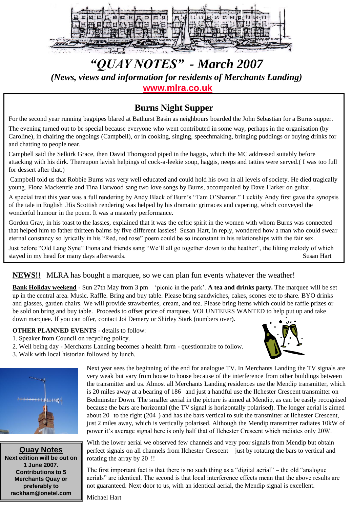

# *"QUAY NOTES" - March 2007 (News, views and information for residents of Merchants Landing)*  **[www.mlra.co.uk](http://www.mlra.co.uk/)**

## **Burns Night Supper**

For the second year running bagpipes blared at Bathurst Basin as neighbours boarded the John Sebastian for a Burns supper.

The evening turned out to be special because everyone who went contributed in some way, perhaps in the organisation (by Caroline), in chairing the ongoings (Campbell), or in cooking, singing, speechmaking, bringing puddings or buying drinks for and chatting to people near.

Campbell said the Selkirk Grace, then David Thorogood piped in the haggis, which the MC addressed suitably before attacking with his dirk. Thereupon lavish helpings of cock-a-leekie soup, haggis, neeps and tatties were served.( I was too full for dessert after that.)

Campbell told us that Robbie Burns was very well educated and could hold his own in all levels of society. He died tragically young. Fiona Mackenzie and Tina Harwood sang two love songs by Burns, accompanied by Dave Harker on guitar.

A special treat this year was a full rendering by Andy Black of Burn"s "Tam O"Shanter." Luckily Andy first gave the synopsis of the tale in English .His Scottish rendering was helped by his dramatic grimaces and capering, which conveyed the wonderful humour in the poem. It was a masterly performance.

Gordon Gray, in his toast to the lassies, explained that it was the celtic spirit in the women with whom Burns was connected that helped him to father thirteen bairns by five different lassies! Susan Hart, in reply, wondered how a man who could swear eternal constancy so lyrically in his "Red, red rose" poem could be so inconstant in his relationships with the fair sex.

Just before "Old Lang Syne" Fiona and friends sang "We"ll all go together down to the heather", the lilting melody of which stayed in my head for many days afterwards. Susan Hart

### **NEWS!!** MLRA has bought a marquee, so we can plan fun events whatever the weather!

**Bank Holiday weekend** - Sun 27th May from 3 pm – "picnic in the park". **A tea and drinks party.** The marquee will be set up in the central area. Music. Raffle. Bring and buy table. Please bring sandwiches, cakes, scones etc to share. BYO drinks and glasses, garden chairs. We will provide strawberries, cream, and tea. Please bring items which could be raffle prizes or be sold on bring and buy table. Proceeds to offset price of marquee. VOLUNTEERS WANTED to help put up and take down marquee. If you can offer, contact Joi Demery or Shirley Stark (numbers over).

#### **OTHER PLANNED EVENTS** - details to follow:

- 1. Speaker from Council on recycling policy.
- 2. Well being day Merchants Landing becomes a health farm questionnaire to follow.
- 3. Walk with local historian followed by lunch.



**Quay Notes Next edition will be out on 1 June 2007. Contributions to 5 Merchants Quay or preferably to rackham@onetel.com**

Next year sees the beginning of the end for analogue TV. In Merchants Landing the TV signals are very weak but vary from house to house because of the interference from other buildings between the transmitter and us. Almost all Merchants Landing residences use the Mendip transmitter, which is 20 miles away at a bearing of 186 and just a handful use the Ilchester Crescent transmitter on Bedminster Down. The smaller aerial in the picture is aimed at Mendip, as can be easily recognised because the bars are horizontal (the TV signal is horizontally polarised). The longer aerial is aimed about 20 to the right (204 ) and has the bars vertical to suit the transmitter at Ilchester Crescent, just 2 miles away, which is vertically polarised. Although the Mendip transmitter radiates 10kW of power it's average signal here is only half that of Ilchester Crescent which radiates only 20W.

With the lower aerial we observed few channels and very poor signals from Mendip but obtain perfect signals on all channels from Ilchester Crescent – just by rotating the bars to vertical and rotating the array by 20 !!

The first important fact is that there is no such thing as a "digital aerial" – the old "analogue aerials" are identical. The second is that local interference effects mean that the above results are not guaranteed. Next door to us, with an identical aerial, the Mendip signal is excellent.

Michael Hart